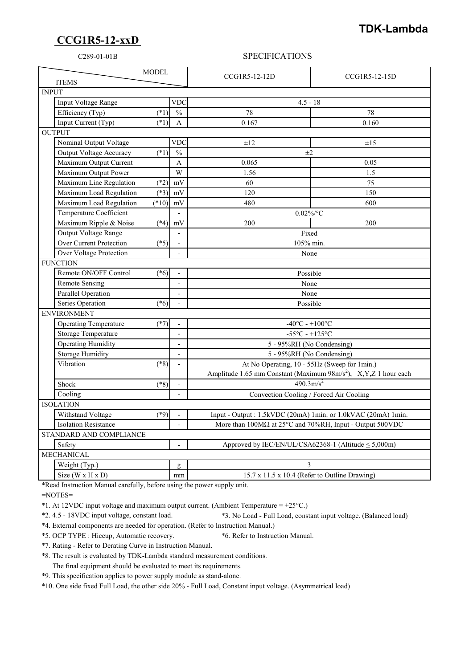## **CCG1R5-12-xxD**

## **TDK-Lambda**

## C289-01-01B SPECIFICATIONS

| <b>MODEL</b><br><b>ITEMS</b>             |                          | CCG1R5-12-12D                                                                                                               | CCG1R5-12-15D |
|------------------------------------------|--------------------------|-----------------------------------------------------------------------------------------------------------------------------|---------------|
| <b>INPUT</b>                             |                          |                                                                                                                             |               |
| Input Voltage Range                      | <b>VDC</b>               | $4.5 - 18$                                                                                                                  |               |
| Efficiency (Typ)<br>$(*1)$               | $\overline{\frac{0}{0}}$ | 78                                                                                                                          | 78            |
| Input Current (Typ)<br>$(*1)$            | A                        | 0.167                                                                                                                       | 0.160         |
| <b>OUTPUT</b>                            |                          |                                                                                                                             |               |
| Nominal Output Voltage                   | <b>VDC</b>               | ±12                                                                                                                         | $\pm 1.5$     |
| $(*1)$<br><b>Output Voltage Accuracy</b> | $\frac{0}{0}$            | $\pm 2$                                                                                                                     |               |
| Maximum Output Current                   | A                        | 0.065                                                                                                                       | 0.05          |
| Maximum Output Power                     | W                        | 1.56                                                                                                                        | 1.5           |
| $(*2)$<br>Maximum Line Regulation        | mV                       | 60                                                                                                                          | 75            |
| Maximum Load Regulation<br>$(*3)$        | mV                       | 120                                                                                                                         | 150           |
| $(*10)$<br>Maximum Load Regulation       | mV                       | 480                                                                                                                         | 600           |
| Temperature Coefficient                  | $\mathbf{r}$             | $0.02\%$ /°C                                                                                                                |               |
| Maximum Ripple & Noise<br>$(*4)$         | mV                       | 200                                                                                                                         | 200           |
| Output Voltage Range                     |                          | Fixed                                                                                                                       |               |
| <b>Over Current Protection</b><br>$(*5)$ |                          | 105% min.                                                                                                                   |               |
| Over Voltage Protection                  |                          | None                                                                                                                        |               |
| <b>FUNCTION</b>                          |                          |                                                                                                                             |               |
| Remote ON/OFF Control<br>$(*6)$          |                          | Possible                                                                                                                    |               |
| <b>Remote Sensing</b>                    | $\overline{\phantom{a}}$ | None                                                                                                                        |               |
| Parallel Operation                       |                          | None                                                                                                                        |               |
| Series Operation<br>$(*6)$               |                          | Possible                                                                                                                    |               |
| <b>ENVIRONMENT</b>                       |                          |                                                                                                                             |               |
| <b>Operating Temperature</b><br>$(*7)$   |                          | $-40^{\circ}$ C - $+100^{\circ}$ C                                                                                          |               |
| Storage Temperature                      | $\blacksquare$           | $-55^{\circ}$ C - $+125^{\circ}$ C                                                                                          |               |
| <b>Operating Humidity</b>                | $\overline{\phantom{0}}$ | 5 - 95%RH (No Condensing)                                                                                                   |               |
| <b>Storage Humidity</b>                  | $\overline{a}$           | 5 - 95%RH (No Condensing)                                                                                                   |               |
| Vibration<br>$(*8)$                      |                          | At No Operating, 10 - 55Hz (Sweep for 1min.)<br>Amplitude 1.65 mm Constant (Maximum 98m/s <sup>2</sup> ), X,Y,Z 1 hour each |               |
|                                          |                          |                                                                                                                             |               |
| Shock<br>$(*8)$                          | $\overline{a}$           | $490.3 \text{m/s}^2$                                                                                                        |               |
| Cooling                                  | $\overline{a}$           | Convection Cooling / Forced Air Cooling                                                                                     |               |
| <b>ISOLATION</b>                         |                          |                                                                                                                             |               |
| Withstand Voltage<br>$(*9)$              |                          | Input - Output : 1.5kVDC (20mA) 1min. or 1.0kVAC (20mA) 1min.                                                               |               |
| <b>Isolation Resistance</b>              |                          | More than 100MΩ at 25°C and 70%RH, Input - Output 500VDC                                                                    |               |
| STANDARD AND COMPLIANCE                  |                          |                                                                                                                             |               |
| Safety                                   |                          | Approved by IEC/EN/UL/CSA62368-1 (Altitude < 5,000m)                                                                        |               |
| <b>MECHANICAL</b>                        |                          |                                                                                                                             |               |
| Weight (Typ.)                            | g                        | 3                                                                                                                           |               |
| Size ( $W \times H \times D$ )           | mm                       | 15.7 x 11.5 x 10.4 (Refer to Outline Drawing)                                                                               |               |

\*Read Instruction Manual carefully, before using the power supply unit.

=NOTES=

\*1. At 12VDC input voltage and maximum output current. (Ambient Temperature = +25°C.)

\*2. 4.5 - 18VDC input voltage, constant load. \*3. No Load - Full Load, constant input voltage. (Balanced load)

\*4. External components are needed for operation. (Refer to Instruction Manual.)

\*5. OCP TYPE : Hiccup, Automatic recovery. \*6. Refer to Instruction Manual.

\*7. Rating - Refer to Derating Curve in Instruction Manual.

\*8. The result is evaluated by TDK-Lambda standard measurement conditions.

The final equipment should be evaluated to meet its requirements.

\*9. This specification applies to power supply module as stand-alone.

\*10. One side fixed Full Load, the other side 20% - Full Load, Constant input voltage. (Asymmetrical load)